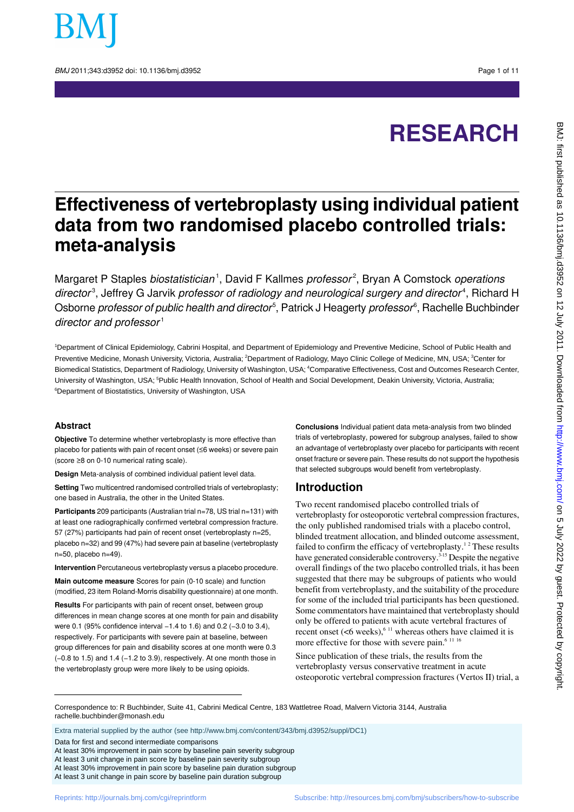

BMJ 2011:343:d3952 doi: 10.1136/bmi.d3952 Page 1 of 11

# **RESEARCH**

## **Effectiveness of vertebroplasty using individual patient data from two randomised placebo controlled trials: meta-analysis**

Margaret P Staples *biostatistician* ', David F Kallmes *professor<sup>2</sup>,* Bryan A Comstock *operations* director<sup>3</sup>, Jeffrey G Jarvik professor of radiology and neurological surgery and director<sup>4</sup>, Richard H Osborne *professor of public health and director<sup>s</sup>,* Patrick J Heagerty *professor<sup>s</sup>,* Rachelle Buchbinder director and professor $1$ 

<sup>1</sup>Department of Clinical Epidemiology, Cabrini Hospital, and Department of Epidemiology and Preventive Medicine, School of Public Health and Preventive Medicine, Monash University, Victoria, Australia; <sup>2</sup>Department of Radiology, Mayo Clinic College of Medicine, MN, USA; <sup>3</sup>Center for Biomedical Statistics, Department of Radiology, University of Washington, USA; <sup>4</sup>Comparative Effectiveness, Cost and Outcomes Research Center, University of Washington, USA; <sup>5</sup>Public Health Innovation, School of Health and Social Development, Deakin University, Victoria, Australia; <sup>6</sup>Department of Biostatistics, University of Washington, USA

#### **Abstract**

**Objective** To determine whether vertebroplasty is more effective than placebo for patients with pain of recent onset (≤6 weeks) or severe pain (score ≥8 on 0-10 numerical rating scale).

**Design** Meta-analysis of combined individual patient level data.

**Setting** Two multicentred randomised controlled trials of vertebroplasty; one based in Australia, the other in the United States.

**Participants** 209 participants (Australian trial n=78, US trial n=131) with at least one radiographically confirmed vertebral compression fracture. 57 (27%) participants had pain of recent onset (vertebroplasty n=25, placebo n=32) and 99 (47%) had severe pain at baseline (vertebroplasty n=50, placebo n=49).

**Intervention** Percutaneous vertebroplasty versus a placebo procedure.

**Main outcome measure** Scores for pain (0-10 scale) and function (modified, 23 item Roland-Morris disability questionnaire) at one month.

**Results** For participants with pain of recent onset, between group differences in mean change scores at one month for pain and disability were 0.1 (95% confidence interval −1.4 to 1.6) and 0.2 (−3.0 to 3.4), respectively. For participants with severe pain at baseline, between group differences for pain and disability scores at one month were 0.3 (−0.8 to 1.5) and 1.4 (−1.2 to 3.9), respectively. At one month those in the vertebroplasty group were more likely to be using opioids.

**Conclusions** Individual patient data meta-analysis from two blinded trials of vertebroplasty, powered for subgroup analyses, failed to show an advantage of vertebroplasty over placebo for participants with recent onset fracture or severe pain. These results do not support the hypothesis that selected subgroups would benefit from vertebroplasty.

## **Introduction**

Two recent randomised placebo controlled trials of vertebroplasty for osteoporotic vertebral compression fractures, the only published randomised trials with a placebo control, blinded treatment allocation, and blinded outcome assessment, failed to confirm the efficacy of vertebroplasty.<sup>12</sup> These results have generated considerable controversy.<sup>3-15</sup> Despite the negative overall findings of the two placebo controlled trials, it has been suggested that there may be subgroups of patients who would benefit from vertebroplasty, and the suitability of the procedure for some of the included trial participants has been questioned. Some commentators have maintained that vertebroplasty should only be offered to patients with acute vertebral fractures of recent onset  $(<6$  weeks),<sup>6 11</sup> whereas others have claimed it is more effective for those with severe pain.<sup>6 11 16</sup>

Since publication of these trials, the results from the vertebroplasty versus conservative treatment in acute osteoporotic vertebral compression fractures (Vertos II) trial, a

Correspondence to: R Buchbinder, Suite 41, Cabrini Medical Centre, 183 Wattletree Road, Malvern Victoria 3144, Australia rachelle.buchbinder@monash.edu

Extra material supplied by the author (see [http://www.bmj.com/content/343/bmj.d3952/suppl/DC1\)](http://www.bmj.com/content/343/bmj.d3952/suppl/DC1)

Data for first and second intermediate comparisons

At least 30% improvement in pain score by baseline pain severity subgroup

At least 3 unit change in pain score by baseline pain severity subgroup

At least 30% improvement in pain score by baseline pain duration subgroup

At least 3 unit change in pain score by baseline pain duration subgroup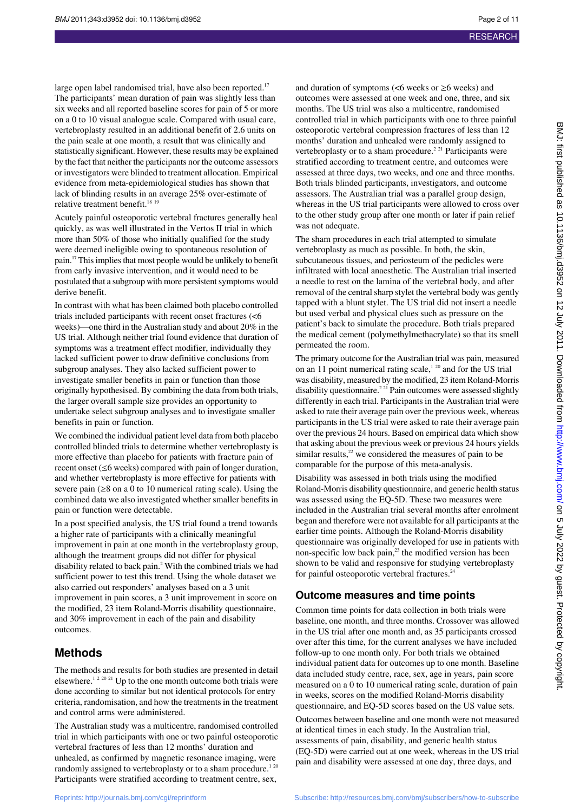**RESEARCH** 

large open label randomised trial, have also been reported.<sup>17</sup> The participants' mean duration of pain was slightly less than six weeks and all reported baseline scores for pain of 5 or more on a 0 to 10 visual analogue scale. Compared with usual care, vertebroplasty resulted in an additional benefit of 2.6 units on the pain scale at one month, a result that was clinically and statistically significant. However, these results may be explained by the fact that neither the participants nor the outcome assessors or investigators were blinded to treatment allocation. Empirical evidence from meta-epidemiological studies has shown that lack of blinding results in an average 25% over-estimate of relative treatment benefit.<sup>18 19</sup>

Acutely painful osteoporotic vertebral fractures generally heal quickly, as was well illustrated in the Vertos II trial in which more than 50% of those who initially qualified for the study were deemed ineligible owing to spontaneous resolution of pain.<sup>17</sup> This implies that most people would be unlikely to benefit from early invasive intervention, and it would need to be postulated that a subgroup with more persistent symptoms would derive benefit.

In contrast with what has been claimed both placebo controlled trials included participants with recent onset fractures (<6 weeks)—one third in the Australian study and about 20% in the US trial. Although neither trial found evidence that duration of symptoms was a treatment effect modifier, individually they lacked sufficient power to draw definitive conclusions from subgroup analyses. They also lacked sufficient power to investigate smaller benefits in pain or function than those originally hypothesised. By combining the data from both trials, the larger overall sample size provides an opportunity to undertake select subgroup analyses and to investigate smaller benefits in pain or function.

We combined the individual patient level data from both placebo controlled blinded trials to determine whether vertebroplasty is more effective than placebo for patients with fracture pain of recent onset (≤6 weeks) compared with pain of longer duration, and whether vertebroplasty is more effective for patients with severe pain ( $\geq$ 8 on a 0 to 10 numerical rating scale). Using the combined data we also investigated whether smaller benefits in pain or function were detectable.

In a post specified analysis, the US trial found a trend towards a higher rate of participants with a clinically meaningful improvement in pain at one month in the vertebroplasty group, although the treatment groups did not differ for physical disability related to back pain.<sup>2</sup> With the combined trials we had sufficient power to test this trend. Using the whole dataset we also carried out responders' analyses based on a 3 unit improvement in pain scores, a 3 unit improvement in score on the modified, 23 item Roland-Morris disability questionnaire, and 30% improvement in each of the pain and disability outcomes.

## **Methods**

The methods and results for both studies are presented in detail elsewhere.<sup>1 2 20 21</sup> Up to the one month outcome both trials were done according to similar but not identical protocols for entry criteria, randomisation, and how the treatments in the treatment and control arms were administered.

The Australian study was a multicentre, randomised controlled trial in which participants with one or two painful osteoporotic vertebral fractures of less than 12 months' duration and unhealed, as confirmed by magnetic resonance imaging, were randomly assigned to vertebroplasty or to a sham procedure.<sup>120</sup> Participants were stratified according to treatment centre, sex,

and duration of symptoms ( $< 6$  weeks or  $\geq 6$  weeks) and outcomes were assessed at one week and one, three, and six months. The US trial was also a multicentre, randomised controlled trial in which participants with one to three painful osteoporotic vertebral compression fractures of less than 12 months' duration and unhealed were randomly assigned to vertebroplasty or to a sham procedure.<sup>2 21</sup> Participants were stratified according to treatment centre, and outcomes were assessed at three days, two weeks, and one and three months. Both trials blinded participants, investigators, and outcome assessors. The Australian trial was a parallel group design, whereas in the US trial participants were allowed to cross over to the other study group after one month or later if pain relief was not adequate.

The sham procedures in each trial attempted to simulate vertebroplasty as much as possible. In both, the skin, subcutaneous tissues, and periosteum of the pedicles were infiltrated with local anaesthetic. The Australian trial inserted a needle to rest on the lamina of the vertebral body, and after removal of the central sharp stylet the vertebral body was gently tapped with a blunt stylet. The US trial did not insert a needle but used verbal and physical clues such as pressure on the patient's back to simulate the procedure. Both trials prepared the medical cement (polymethylmethacrylate) so that its smell permeated the room.

The primary outcome for the Australian trial was pain, measured on an 11 point numerical rating scale, $1^{20}$  and for the US trial was disability, measured by the modified, 23 item Roland-Morris disability questionnaire.<sup>2 21</sup> Pain outcomes were assessed slightly differently in each trial. Participants in the Australian trial were asked to rate their average pain over the previous week, whereas participants in the US trial were asked to rate their average pain over the previous 24 hours. Based on empirical data which show that asking about the previous week or previous 24 hours yields similar results, $2<sup>2</sup>$  we considered the measures of pain to be comparable for the purpose of this meta-analysis.

Disability was assessed in both trials using the modified Roland-Morris disability questionnaire, and generic health status was assessed using the EQ-5D. These two measures were included in the Australian trial several months after enrolment began and therefore were not available for all participants at the earlier time points. Although the Roland-Morris disability questionnaire was originally developed for use in patients with non-specific low back pain,<sup>23</sup> the modified version has been shown to be valid and responsive for studying vertebroplasty for painful osteoporotic vertebral fractures.<sup>2</sup>

#### **Outcome measures and time points**

Common time points for data collection in both trials were baseline, one month, and three months. Crossover was allowed in the US trial after one month and, as 35 participants crossed over after this time, for the current analyses we have included follow-up to one month only. For both trials we obtained individual patient data for outcomes up to one month. Baseline data included study centre, race, sex, age in years, pain score measured on a 0 to 10 numerical rating scale, duration of pain in weeks, scores on the modified Roland-Morris disability questionnaire, and EQ-5D scores based on the US value sets.

Outcomes between baseline and one month were not measured at identical times in each study. In the Australian trial, assessments of pain, disability, and generic health status (EQ-5D) were carried out at one week, whereas in the US trial pain and disability were assessed at one day, three days, and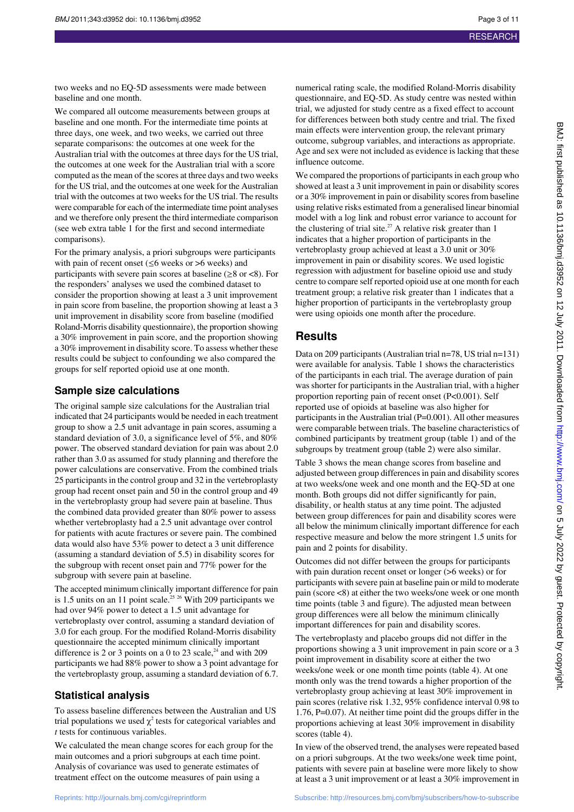two weeks and no EQ-5D assessments were made between baseline and one month.

We compared all outcome measurements between groups at baseline and one month. For the intermediate time points at three days, one week, and two weeks, we carried out three separate comparisons: the outcomes at one week for the Australian trial with the outcomes at three days for the US trial, the outcomes at one week for the Australian trial with a score computed as the mean of the scores at three days and two weeks for the US trial, and the outcomes at one week for the Australian trial with the outcomes at two weeks for the US trial. The results were comparable for each of the intermediate time point analyses and we therefore only present the third intermediate comparison (see web extra table 1 for the first and second intermediate comparisons).

For the primary analysis, a priori subgroups were participants with pain of recent onset ( $\leq 6$  weeks or >6 weeks) and participants with severe pain scores at baseline ( $\geq 8$  or  $\lt 8$ ). For the responders' analyses we used the combined dataset to consider the proportion showing at least a 3 unit improvement in pain score from baseline, the proportion showing at least a 3 unit improvement in disability score from baseline (modified Roland-Morris disability questionnaire), the proportion showing a 30% improvement in pain score, and the proportion showing a 30% improvement in disability score. To assess whether these results could be subject to confounding we also compared the groups for self reported opioid use at one month.

### **Sample size calculations**

The original sample size calculations for the Australian trial indicated that 24 participants would be needed in each treatment group to show a 2.5 unit advantage in pain scores, assuming a standard deviation of 3.0, a significance level of 5%, and 80% power. The observed standard deviation for pain was about 2.0 rather than 3.0 as assumed for study planning and therefore the power calculations are conservative. From the combined trials 25 participants in the control group and 32 in the vertebroplasty group had recent onset pain and 50 in the control group and 49 in the vertebroplasty group had severe pain at baseline. Thus the combined data provided greater than 80% power to assess whether vertebroplasty had a 2.5 unit advantage over control for patients with acute fractures or severe pain. The combined data would also have 53% power to detect a 3 unit difference (assuming a standard deviation of 5.5) in disability scores for the subgroup with recent onset pain and 77% power for the subgroup with severe pain at baseline.

The accepted minimum clinically important difference for pain is 1.5 units on an 11 point scale.<sup>25 26</sup> With 209 participants we had over 94% power to detect a 1.5 unit advantage for vertebroplasty over control, assuming a standard deviation of 3.0 for each group. For the modified Roland-Morris disability questionnaire the accepted minimum clinically important difference is 2 or 3 points on a 0 to 23 scale, $24$  and with 209 participants we had 88% power to show a 3 point advantage for the vertebroplasty group, assuming a standard deviation of 6.7.

## **Statistical analysis**

To assess baseline differences between the Australian and US trial populations we used  $\chi^2$  tests for categorical variables and *t* tests for continuous variables.

We calculated the mean change scores for each group for the main outcomes and a priori subgroups at each time point. Analysis of covariance was used to generate estimates of treatment effect on the outcome measures of pain using a

numerical rating scale, the modified Roland-Morris disability questionnaire, and EQ-5D. As study centre was nested within trial, we adjusted for study centre as a fixed effect to account for differences between both study centre and trial. The fixed main effects were intervention group, the relevant primary outcome, subgroup variables, and interactions as appropriate. Age and sex were not included as evidence is lacking that these influence outcome.

We compared the proportions of participants in each group who showed at least a 3 unit improvement in pain or disability scores or a 30% improvement in pain or disability scores from baseline using relative risks estimated from a generalised linear binomial model with a log link and robust error variance to account for the clustering of trial site.<sup>27</sup> A relative risk greater than 1 indicates that a higher proportion of participants in the vertebroplasty group achieved at least a 3.0 unit or 30% improvement in pain or disability scores. We used logistic regression with adjustment for baseline opioid use and study centre to compare self reported opioid use at one month for each treatment group; a relative risk greater than 1 indicates that a higher proportion of participants in the vertebroplasty group were using opioids one month after the procedure.

## **Results**

Data on 209 participants (Australian trial n=78, US trial n=131) were available for analysis. Table 1 shows the characteristics of the participants in each trial. The average duration of pain was shorter for participants in the Australian trial, with a higher proportion reporting pain of recent onset (P<0.001). Self reported use of opioids at baseline was also higher for participants in the Australian trial (P=0.001). All other measures were comparable between trials. The baseline characteristics of combined participants by treatment group (table 1) and of the subgroups by treatment group (table 2) were also similar.

Table 3 shows the mean change scores from baseline and adjusted between group differences in pain and disability scores at two weeks/one week and one month and the EQ-5D at one month. Both groups did not differ significantly for pain, disability, or health status at any time point. The adjusted between group differences for pain and disability scores were all below the minimum clinically important difference for each respective measure and below the more stringent 1.5 units for pain and 2 points for disability.

Outcomes did not differ between the groups for participants with pain duration recent onset or longer ( $>6$  weeks) or for participants with severe pain at baseline pain or mild to moderate pain (score <8) at either the two weeks/one week or one month time points (table 3 and figure). The adjusted mean between group differences were all below the minimum clinically important differences for pain and disability scores.

The vertebroplasty and placebo groups did not differ in the proportions showing a 3 unit improvement in pain score or a 3 point improvement in disability score at either the two weeks/one week or one month time points (table 4). At one month only was the trend towards a higher proportion of the vertebroplasty group achieving at least 30% improvement in pain scores (relative risk 1.32, 95% confidence interval 0.98 to 1.76, P=0.07). At neither time point did the groups differ in the proportions achieving at least 30% improvement in disability scores (table 4).

In view of the observed trend, the analyses were repeated based on a priori subgroups. At the two weeks/one week time point, patients with severe pain at baseline were more likely to show at least a 3 unit improvement or at least a 30% improvement in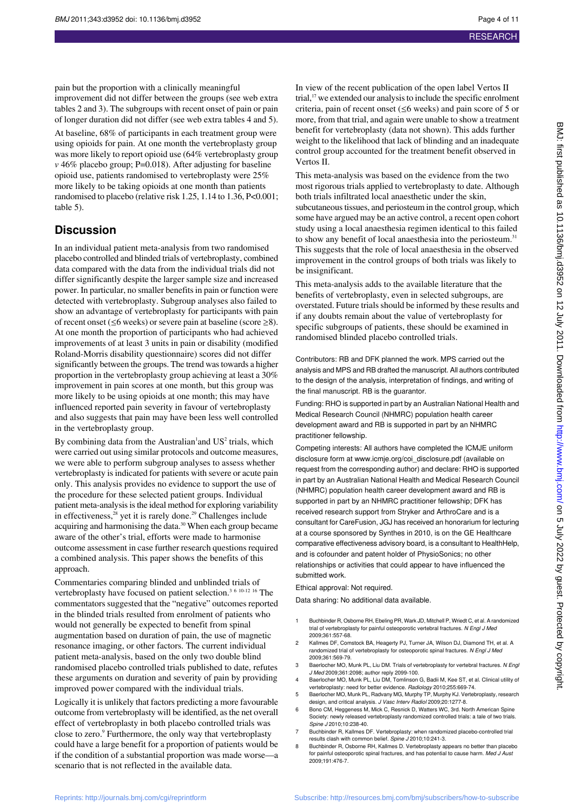pain but the proportion with a clinically meaningful improvement did not differ between the groups (see web extra tables 2 and 3). The subgroups with recent onset of pain or pain of longer duration did not differ (see web extra tables 4 and 5).

At baseline, 68% of participants in each treatment group were using opioids for pain. At one month the vertebroplasty group was more likely to report opioid use (64% vertebroplasty group *v* 46% placebo group; P=0.018). After adjusting for baseline opioid use, patients randomised to vertebroplasty were 25% more likely to be taking opioids at one month than patients randomised to placebo (relative risk 1.25, 1.14 to 1.36, P<0.001; table 5).

## **Discussion**

In an individual patient meta-analysis from two randomised placebo controlled and blinded trials of vertebroplasty, combined data compared with the data from the individual trials did not differ significantly despite the larger sample size and increased power. In particular, no smaller benefits in pain or function were detected with vertebroplasty. Subgroup analyses also failed to show an advantage of vertebroplasty for participants with pain of recent onset ( $\leq 6$  weeks) or severe pain at baseline (score  $\geq 8$ ). At one month the proportion of participants who had achieved improvements of at least 3 units in pain or disability (modified Roland-Morris disability questionnaire) scores did not differ significantly between the groups. The trend was towards a higher proportion in the vertebroplasty group achieving at least a 30% improvement in pain scores at one month, but this group was more likely to be using opioids at one month; this may have influenced reported pain severity in favour of vertebroplasty and also suggests that pain may have been less well controlled in the vertebroplasty group.

By combining data from the Australian<sup>1</sup> and  $US^2$  trials, which were carried out using similar protocols and outcome measures, we were able to perform subgroup analyses to assess whether vertebroplasty is indicated for patients with severe or acute pain only. This analysis provides no evidence to support the use of the procedure for these selected patient groups. Individual patient meta-analysis is the ideal method for exploring variability in effectiveness,<sup>28</sup> yet it is rarely done.<sup>29</sup> Challenges include acquiring and harmonising the data.<sup>30</sup> When each group became aware of the other's trial, efforts were made to harmonise outcome assessment in case further research questions required a combined analysis. This paper shows the benefits of this approach.

Commentaries comparing blinded and unblinded trials of vertebroplasty have focused on patient selection.<sup>3 6 10-12 16</sup> The commentators suggested that the "negative" outcomes reported in the blinded trials resulted from enrolment of patients who would not generally be expected to benefit from spinal augmentation based on duration of pain, the use of magnetic resonance imaging, or other factors. The current individual patient meta-analysis, based on the only two double blind randomised placebo controlled trials published to date, refutes these arguments on duration and severity of pain by providing improved power compared with the individual trials.

Logically it is unlikely that factors predicting a more favourable outcome from vertebroplasty will be identified, as the net overall effect of vertebroplasty in both placebo controlled trials was close to zero.<sup>9</sup> Furthermore, the only way that vertebroplasty could have a large benefit for a proportion of patients would be if the condition of a substantial proportion was made worse—a scenario that is not reflected in the available data.

In view of the recent publication of the open label Vertos II trial, $17$  we extended our analysis to include the specific enrolment criteria, pain of recent onset (≤6 weeks) and pain score of 5 or more, from that trial, and again were unable to show a treatment benefit for vertebroplasty (data not shown). This adds further weight to the likelihood that lack of blinding and an inadequate control group accounted for the treatment benefit observed in Vertos II.

This meta-analysis was based on the evidence from the two most rigorous trials applied to vertebroplasty to date. Although both trials infiltrated local anaesthetic under the skin, subcutaneous tissues, and periosteum in the control group, which some have argued may be an active control, a recent open cohort study using a local anaesthesia regimen identical to this failed to show any benefit of local anaesthesia into the periosteum.<sup>31</sup> This suggests that the role of local anaesthesia in the observed improvement in the control groups of both trials was likely to be insignificant.

This meta-analysis adds to the available literature that the benefits of vertebroplasty, even in selected subgroups, are overstated. Future trials should be informed by these results and if any doubts remain about the value of vertebroplasty for specific subgroups of patients, these should be examined in randomised blinded placebo controlled trials.

Contributors: RB and DFK planned the work. MPS carried out the analysis and MPS and RB drafted the manuscript. All authors contributed to the design of the analysis, interpretation of findings, and writing of the final manuscript. RB is the guarantor.

Funding: RHO is supported in part by an Australian National Health and Medical Research Council (NHMRC) population health career development award and RB is supported in part by an NHMRC practitioner fellowship.

Competing interests: All authors have completed the ICMJE uniform disclosure form at www.icmje.org/coi\_disclosure.pdf (available on request from the corresponding author) and declare: RHO is supported in part by an Australian National Health and Medical Research Council (NHMRC) population health career development award and RB is supported in part by an NHMRC practitioner fellowship; DFK has received research support from Stryker and ArthroCare and is a consultant for CareFusion, JGJ has received an honorarium for lecturing at a course sponsored by Synthes in 2010, is on the GE Healthcare comparative effectiveness advisory board, is a consultant to HealthHelp, and is cofounder and patent holder of PhysioSonics; no other relationships or activities that could appear to have influenced the submitted work.

#### Ethical approval: Not required.

Data sharing: No additional data available.

- 1 Buchbinder R, Osborne RH, Ebeling PR, Wark JD, Mitchell P, Wriedt C, et al. A randomized trial of vertebroplasty for painful osteoporotic vertebral fractures. N Engl J Med 2009;361:557-68.
- 2 Kallmes DF, Comstock BA, Heagerty PJ, Turner JA, Wilson DJ, Diamond TH, et al. A randomized trial of vertebroplasty for osteoporotic spinal fractures. N Engl J Med 2009;361:569-79.
- 3 Baerlocher MO, Munk PL, Liu DM. Trials of vertebroplasty for vertebral fractures. N Engl J Med 2009;361:2098; author reply 2099-100. 4 Baerlocher MO, Munk PL, Liu DM, Tomlinson G, Badii M, Kee ST, et al. Clinical utility of
- vertebroplasty: need for better evidence. Radiology 2010;255:669-74
- 5 Baerlocher MO, Munk PL, Radvany MG, Murphy TP, Murphy KJ. Vertebroplasty, research design, and critical analysis. J Vasc Interv Radiol 2009;20:1277-8.
- 6 Bono CM, Heggeness M, Mick C, Resnick D, Watters WC, 3rd. North American Spine Society: newly released vertebroplasty randomized controlled trials: a tale of two trials. Spine J 2010;10:238-40.
- 7 Buchbinder R, Kallmes DF. Vertebroplasty: when randomized placebo-controlled trial results clash with common belief. Spine J 2010;10:241-3.
- 8 Buchbinder R, Osborne RH, Kallmes D. Vertebroplasty appears no better than placebo for painful osteoporotic spinal fractures, and has potential to cause harm. Med J Aust 2009;191:476-7.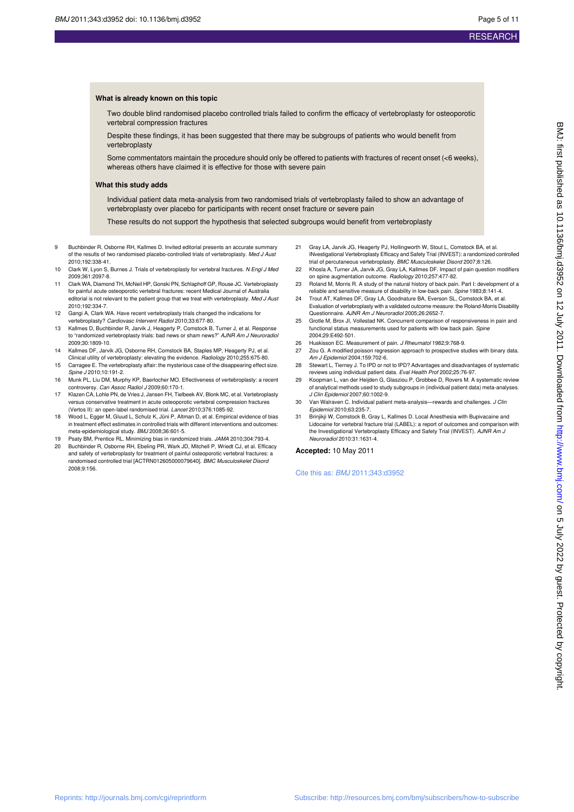#### **What is already known on this topic**

Two double blind randomised placebo controlled trials failed to confirm the efficacy of vertebroplasty for osteoporotic vertebral compression fractures

Despite these findings, it has been suggested that there may be subgroups of patients who would benefit from vertebroplasty

Some commentators maintain the procedure should only be offered to patients with fractures of recent onset (<6 weeks), whereas others have claimed it is effective for those with severe pain

#### **What this study adds**

Individual patient data meta-analysis from two randomised trials of vertebroplasty failed to show an advantage of vertebroplasty over placebo for participants with recent onset fracture or severe pain

These results do not support the hypothesis that selected subgroups would benefit from vertebroplasty

- 9 Buchbinder R, Osborne RH, Kallmes D. Invited editorial presents an accurate summary of the results of two randomised placebo-controlled trials of vertebroplasty. Med J Aust 2010;192:338-41.
- 10 Clark W, Lyon S, Burnes J. Trials of vertebroplasty for vertebral fractures. N Engl J Med 2009;361:2097-8.
- 11 Clark WA, Diamond TH, McNeil HP, Gonski PN, Schlaphoff GP, Rouse JC. Vertebroplasty for painful acute osteoporotic vertebral fractures: recent Medical Journal of Australia editorial is not relevant to the patient group that we treat with vertebroplasty. Med J Aust 2010;192:334-7.
- 12 Gangi A, Clark WA. Have recent vertebroplasty trials changed the indications for vertebroplasty? Cardiovasc Intervent Radiol 2010;33:677-80.
- 13 Kallmes D, Buchbinder R, Jarvik J, Heagerty P, Comstock B, Turner J, et al. Response to "randomized vertebroplasty trials: bad news or sham news?" AJNR Am J Neuroradiol 2009;30:1809-10.
- 14 Kallmes DF, Jarvik JG, Osborne RH, Comstock BA, Staples MP, Heagerty PJ, et al. Clinical utility of vertebroplasty: elevating the evidence. Radiology 2010;255:675-80.
- 15 Carragee E. The vertebroplasty affair: the mysterious case of the disappearing effect size. Spine J 2010;10:191-2.
- 16 Munk PL, Liu DM, Murphy KP, Baerlocher MO. Effectiveness of vertebroplasty: a recent controversy. Can Assoc Radiol J 2009;60:170-1.
- 17 Klazen CA, Lohle PN, de Vries J, Jansen FH, Tielbeek AV, Blonk MC, et al. Vertebroplasty versus conservative treatment in acute osteoporotic vertebral compression fractures (Vertos II): an open-label randomised trial. Lancet 2010;376:1085-92.
- 18 Wood L, Egger M, Gluud L, Schulz K, Jüni P, Altman D, et al. Empirical evidence of bias in treatment effect estimates in controlled trials with different interventions and outcomes: meta-epidemiological study. BMJ 2008;36:601-5.
- 19 Psaty BM, Prentice RL. Minimizing bias in randomized trials. JAMA 2010;304:793-4.
- Buchbinder R, Osborne RH, Ebeling PR, Wark JD, Mitchell P, Wriedt CJ, et al. Efficacy and safety of vertebroplasty for treatment of painful osteoporotic vertebral fractures: a randomised controlled trial [ACTRN012605000079640]. BMC Musculoskelet Disord 2008;9:156.
- 21 Gray LA, Jarvik JG, Heagerty PJ, Hollingworth W, Stout L, Comstock BA, et al. INvestigational Vertebroplasty Efficacy and Safety Trial (INVEST): a randomized controlled trial of percutaneous vertebroplasty. BMC Musculoskelet Disord 2007;8:126.
- 22 Khosla A, Turner JA, Jarvik JG, Gray LA, Kallmes DF. Impact of pain question modifiers on spine augmentation outcome. Radiology 2010;257:477-82.
- 23 Roland M, Morris R. A study of the natural history of back pain. Part I: development of a reliable and sensitive measure of disability in low-back pain. Spine 1983;8:141-4.
- 24 Trout AT, Kallmes DF, Gray LA, Goodnature BA, Everson SL, Comstock BA, et al. Evaluation of vertebroplasty with a validated outcome measure: the Roland-Morris Disability Questionnaire. AJNR Am J Neuroradiol 2005;26:2652-7.
- 25 Grotle M, Brox JI, Vollestad NK. Concurrent comparison of responsiveness in pain and functional status measurements used for patients with low back pain. Spine 2004;29:E492-501.
- 26 Huskisson EC. Measurement of pain. J Rheumatol 1982;9:768-9.
- 27 Zou G. A modified poisson regression approach to prospective studies with binary data. Am J Epidemiol 2004;159:702-6.
- 28 Stewart L, Tierney J. To IPD or not to IPD? Advantages and disadvantages of systematic reviews using individual patient data. Eval Health Prof 2002;25:76-97.
- 29 Koopman L, van der Heijden G, Glasziou P, Grobbee D, Rovers M. A systematic review of analytical methods used to study subgroups in (individual patient data) meta-analyses. J Clin Epidemiol 2007;60:1002-9.
- 30 Van Walraven C. Individual patient meta-analysis—rewards and challenges. J Clin Epidemiol 2010;63:235-7.
- 31 Brinjikji W, Comstock B, Gray L, Kallmes D. Local Anesthesia with Bupivacaine and Lidocaine for vertebral fracture trial (LABEL): a report of outcomes and comparison with the Investigational Vertebroplasty Efficacy and Safety Trial (INVEST). AJNR Am J Neuroradiol 2010:31:1631-4.

#### **Accepted:** 10 May 2011

Cite this as: BMJ 2011;343:d3952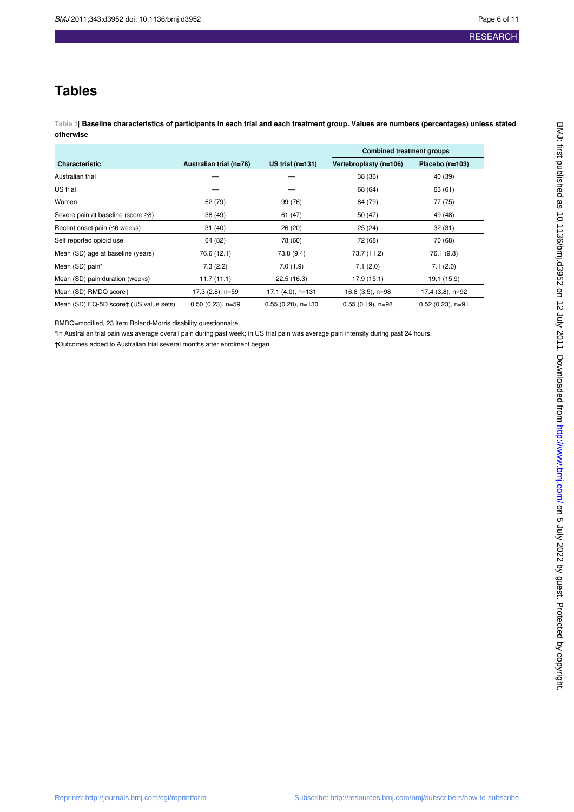## **Tables**

**Table 1| Baseline characteristics of participants in each trial and each treatment group. Values are numbers (percentages) unless stated otherwise**

|                                           |                         |                      | <b>Combined treatment groups</b> |                     |  |
|-------------------------------------------|-------------------------|----------------------|----------------------------------|---------------------|--|
| <b>Characteristic</b>                     | Australian trial (n=78) | US trial $(n=131)$   | Vertebroplasty (n=106)           | Placebo $(n=103)$   |  |
| Australian trial                          |                         |                      | 38(36)                           | 40 (39)             |  |
| US trial                                  |                         |                      | 68 (64)                          | 63 (61)             |  |
| Women                                     | 62 (79)                 | 99 (76)              | 84 (79)                          | 77 (75)             |  |
| Severe pain at baseline (score $\geq 8$ ) | 38 (49)                 | 61 (47)              | 50 (47)                          | 49 (48)             |  |
| Recent onset pain $(≤6$ weeks)            | 31(40)                  | 26 (20)              | 25(24)                           | 32 (31)             |  |
| Self reported opioid use                  | 64 (82)                 | 78 (60)              | 72 (68)                          | 70 (68)             |  |
| Mean (SD) age at baseline (years)         | 76.6 (12.1)             | 73.8 (9.4)           | 73.7 (11.2)                      | 76.1 (9.8)          |  |
| Mean (SD) pain*                           | 7.3(2.2)                | 7.0(1.9)             | 7.1(2.0)                         | 7.1(2.0)            |  |
| Mean (SD) pain duration (weeks)           | 11.7(11.1)              | 22.5(16.3)           | 17.9(15.1)                       | 19.1 (15.9)         |  |
| Mean (SD) RMDQ scoret                     | $17.3$ (2.8), n=59      | $17.1$ (4.0), n=131  | $16.8(3.5)$ , n=98               | $17.4$ (3.8), n=92  |  |
| Mean (SD) EQ-5D score† (US value sets)    | $0.50(0.23)$ , n=59     | $0.55(0.20)$ , n=130 | $0.55(0.19)$ , n=98              | $0.52(0.23)$ , n=91 |  |

RMDQ=modified, 23 item Roland-Morris disability questionnaire.

\*In Australian trial pain was average overall pain during past week; in US trial pain was average pain intensity during past 24 hours. †Outcomes added to Australian trial several months after enrolment began.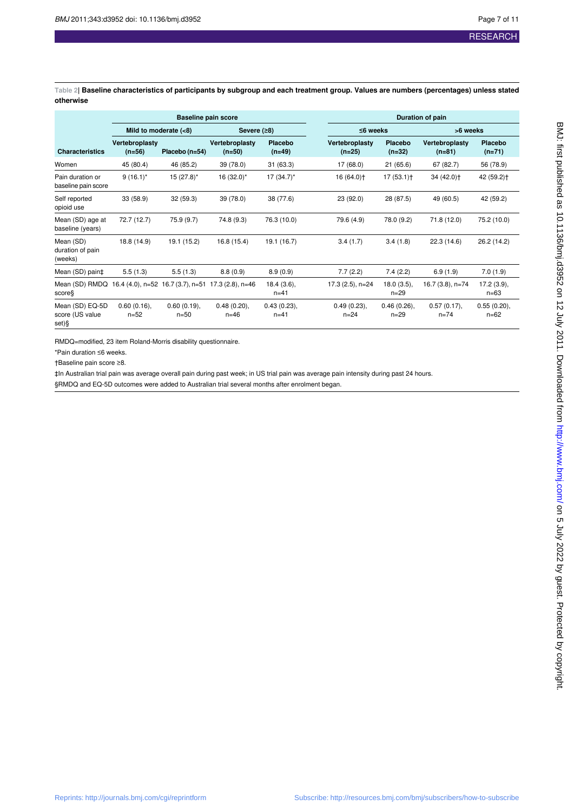**Table 2| Baseline characteristics of participants by subgroup and each treatment group. Values are numbers (percentages) unless stated otherwise**

|                                             | <b>Baseline pain score</b> |                         |                                                    |                         | Duration of pain           |                           |                            |                         |  |
|---------------------------------------------|----------------------------|-------------------------|----------------------------------------------------|-------------------------|----------------------------|---------------------------|----------------------------|-------------------------|--|
|                                             | Mild to moderate $(8)$     |                         | Severe $(28)$                                      |                         |                            | $\leq$ 6 weeks            |                            | >6 weeks                |  |
| <b>Characteristics</b>                      | Vertebroplasty<br>$(n=56)$ | Placebo (n=54)          | Vertebroplasty<br>$(n=50)$                         | Placebo<br>$(n=49)$     | Vertebroplasty<br>$(n=25)$ | Placebo<br>$(n=32)$       | Vertebroplasty<br>$(n=81)$ | Placebo<br>$(n=71)$     |  |
| Women                                       | 45 (80.4)                  | 46 (85.2)               | 39 (78.0)                                          | 31(63.3)                | 17 (68.0)                  | 21(65.6)                  | 67 (82.7)                  | 56 (78.9)               |  |
| Pain duration or<br>baseline pain score     | $9(16.1)^{*}$              | $15(27.8)^*$            | $16(32.0)^*$                                       | $17(34.7)^*$            | 16 (64.0) †                | $17(53.1)$ <sup>+</sup>   | 34 (42.0) <sup>+</sup>     | 42 (59.2) <sup>+</sup>  |  |
| Self reported<br>opioid use                 | 33 (58.9)                  | 32 (59.3)               | 39 (78.0)                                          | 38 (77.6)               | 23 (92.0)                  | 28 (87.5)                 | 49 (60.5)                  | 42 (59.2)               |  |
| Mean (SD) age at<br>baseline (years)        | 72.7 (12.7)                | 75.9 (9.7)              | 74.8 (9.3)                                         | 76.3 (10.0)             | 79.6 (4.9)                 | 78.0 (9.2)                | 71.8 (12.0)                | 75.2 (10.0)             |  |
| Mean (SD)<br>duration of pain<br>(weeks)    | 18.8 (14.9)                | 19.1 (15.2)             | 16.8 (15.4)                                        | 19.1 (16.7)             | 3.4(1.7)                   | 3.4(1.8)                  | 22.3(14.6)                 | 26.2 (14.2)             |  |
| Mean (SD) pain‡                             | 5.5(1.3)                   | 5.5(1.3)                | 8.8(0.9)                                           | 8.9(0.9)                | 7.7(2.2)                   | 7.4(2.2)                  | 6.9(1.9)                   | 7.0(1.9)                |  |
| Mean (SD) RMDQ<br>score§                    |                            |                         | 16.4 (4.0), n=52 16.7 (3.7), n=51 17.3 (2.8), n=46 | 18.4(3.6),<br>$n = 41$  | $17.3(2.5)$ , n=24         | $18.0(3.5)$ ,<br>$n = 29$ | 16.7 (3.8), n=74           | 17.2(3.9),<br>$n = 63$  |  |
| Mean (SD) EQ-5D<br>score (US value<br>set)§ | $0.60(0.16)$ ,<br>$n = 52$ | 0.60(0.19),<br>$n = 50$ | 0.48(0.20),<br>$n = 46$                            | 0.43(0.23),<br>$n = 41$ | 0.49(0.23),<br>$n = 24$    | 0.46(0.26),<br>$n = 29$   | 0.57(0.17),<br>$n = 74$    | 0.55(0.20),<br>$n = 62$ |  |

RMDQ=modified, 23 item Roland-Morris disability questionnaire.

\*Pain duration ≤6 weeks.

†Baseline pain score ≥8.

‡In Australian trial pain was average overall pain during past week; in US trial pain was average pain intensity during past 24 hours.

§RMDQ and EQ-5D outcomes were added to Australian trial several months after enrolment began.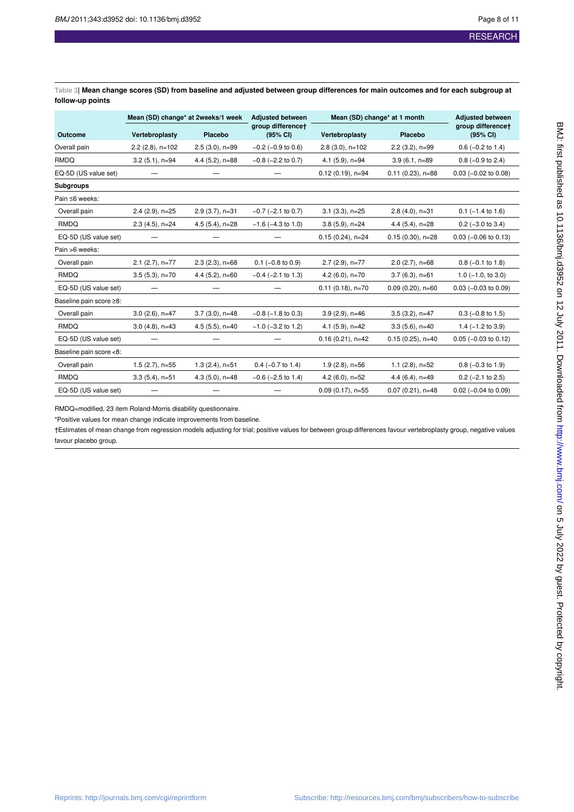**Table 3| Mean change scores (SD) from baseline and adjusted between group differences for main outcomes and for each subgroup at follow-up points**

|                         | Mean (SD) change* at 2weeks/1 week |                   | <b>Adiusted between</b>       | Mean (SD) change* at 1 month |                     | <b>Adjusted between</b>       |  |
|-------------------------|------------------------------------|-------------------|-------------------------------|------------------------------|---------------------|-------------------------------|--|
| Outcome                 | Vertebroplasty                     | Placebo           | group differencet<br>(95% CI) | Vertebroplasty               | Placebo             | group differencet<br>(95% CI) |  |
| Overall pain            | $2.2$ (2.8), n=102                 | $2.5(3.0), n=99$  | $-0.2$ ( $-0.9$ to 0.6)       | $2.8(3.0), n=102$            | $2.2(3.2), n=99$    | $0.6$ (-0.2 to 1.4)           |  |
| <b>RMDQ</b>             | $3.2(5.1), n=94$                   | $4.4(5.2)$ , n=88 | $-0.8$ ( $-2.2$ to 0.7)       | $4.1(5.9)$ , n=94            | $3.9(6.1, n=89)$    | $0.8$ (-0.9 to 2.4)           |  |
| EQ-5D (US value set)    |                                    |                   |                               | $0.12(0.19)$ , n=94          | $0.11(0.23)$ , n=88 | $0.03$ (-0.02 to 0.08)        |  |
| <b>Subgroups</b>        |                                    |                   |                               |                              |                     |                               |  |
| Pain ≤6 weeks:          |                                    |                   |                               |                              |                     |                               |  |
| Overall pain            | $2.4$ (2.9), n= $25$               | $2.9(3.7)$ , n=31 | $-0.7$ ( $-2.1$ to 0.7)       | $3.1(3.3), n=25$             | $2.8(4.0), n=31$    | $0.1$ (-1.4 to 1.6)           |  |
| RMDQ                    | $2.3(4.5)$ , n=24                  | $4.5(5.4)$ , n=28 | $-1.6$ ( $-4.3$ to 1.0)       | $3.8(5.9)$ , n=24            | $4.4(5.4)$ , n=28   | $0.2$ (-3.0 to 3.4)           |  |
| EQ-5D (US value set)    |                                    |                   |                               | $0.15(0.24)$ , n=24          | $0.15(0.30), n=28$  | $0.03$ (-0.06 to 0.13)        |  |
| Pain >6 weeks:          |                                    |                   |                               |                              |                     |                               |  |
| Overall pain            | $2.1$ (2.7), n=77                  | $2.3(2.3), n=68$  | $0.1$ (-0.8 to 0.9)           | $2.7$ (2.9), n=77            | $2.0$ (2.7), n=68   | $0.8$ (-0.1 to 1.8)           |  |
| <b>RMDQ</b>             | $3.5(5.3), n=70$                   | $4.4(5.2)$ , n=60 | $-0.4$ ( $-2.1$ to 1.3)       | 4.2 $(6.0)$ , n=70           | $3.7(6.3)$ , n=61   | $1.0$ ( $-1.0$ , to $3.0$ )   |  |
| EQ-5D (US value set)    |                                    |                   |                               | $0.11$ (0.18), n=70          | $0.09(0.20)$ , n=60 | $0.03$ (-0.03 to 0.09)        |  |
| Baseline pain score ≥8: |                                    |                   |                               |                              |                     |                               |  |
| Overall pain            | $3.0$ (2.6), n=47                  | $3.7(3.0)$ , n=48 | $-0.8$ ( $-1.8$ to 0.3)       | $3.9(2.9)$ , n=46            | $3.5(3.2)$ , n=47   | $0.3$ (-0.8 to 1.5)           |  |
| <b>RMDQ</b>             | $3.0(4.8)$ , n=43                  | $4.5(5.5)$ , n=40 | $-1.0$ ( $-3.2$ to 1.2)       | $4.1(5.9)$ , n=42            | $3.3(5.6)$ , n=40   | $1.4 (-1.2 to 3.9)$           |  |
| EQ-5D (US value set)    |                                    |                   |                               | $0.16(0.21), n=42$           | $0.15(0.25)$ , n=40 | $0.05$ (-0.03 to 0.12)        |  |
| Baseline pain score <8: |                                    |                   |                               |                              |                     |                               |  |
| Overall pain            | $1.5(2.7)$ , n=55                  | $1.3(2.4)$ , n=51 | $0.4$ (-0.7 to 1.4)           | $1.9(2.8)$ , n=56            | $1.1$ (2.8), n=52   | $0.8$ (-0.3 to 1.9)           |  |
| RMDQ                    | $3.3(5.4)$ , n=51                  | $4.3(5.0)$ , n=48 | $-0.6$ ( $-2.5$ to 1.4)       | 4.2 $(6.0)$ , n=52           | 4.4 (6.4), n=49     | $0.2$ (-2.1 to 2.5)           |  |
| EQ-5D (US value set)    |                                    |                   |                               | $0.09(0.17)$ , n=55          | $0.07(0.21), n=48$  | $0.02$ (-0.04 to 0.09)        |  |

RMDQ=modified, 23 item Roland-Morris disability questionnaire.

\*Positive values for mean change indicate improvements from baseline.

†Estimates of mean change from regression models adjusting for trial; positive values for between group differences favour vertebroplasty group, negative values favour placebo group.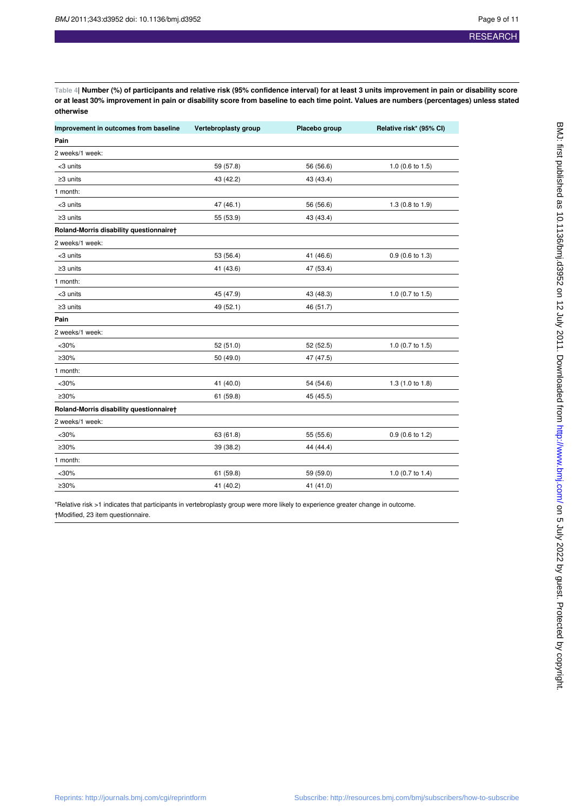**Table 4| Number (%) of participants and relative risk (95% confidence interval) for at least 3 units improvement in pain or disability score or at least 30% improvement in pain or disability score from baseline to each time point. Values are numbers (percentages) unless stated otherwise**

| Improvement in outcomes from baseline   | Vertebroplasty group | Placebo group | Relative risk* (95% CI) |
|-----------------------------------------|----------------------|---------------|-------------------------|
| Pain                                    |                      |               |                         |
| 2 weeks/1 week:                         |                      |               |                         |
| <3 units                                | 59 (57.8)            | 56 (56.6)     | 1.0 (0.6 to 1.5)        |
| $\geq$ 3 units                          | 43 (42.2)            | 43 (43.4)     |                         |
| 1 month:                                |                      |               |                         |
| <3 units                                | 47 (46.1)            | 56 (56.6)     | 1.3 (0.8 to 1.9)        |
| $\geq$ 3 units                          | 55 (53.9)            | 43 (43.4)     |                         |
| Roland-Morris disability questionnaire† |                      |               |                         |
| 2 weeks/1 week:                         |                      |               |                         |
| <3 units                                | 53 (56.4)            | 41 (46.6)     | $0.9$ (0.6 to 1.3)      |
| $\geq$ 3 units                          | 41 (43.6)            | 47 (53.4)     |                         |
| 1 month:                                |                      |               |                         |
| <3 units                                | 45 (47.9)            | 43 (48.3)     | 1.0 (0.7 to 1.5)        |
| $\geq$ 3 units                          | 49 (52.1)            | 46 (51.7)     |                         |
| Pain                                    |                      |               |                         |
| 2 weeks/1 week:                         |                      |               |                         |
| $<$ 30%                                 | 52 (51.0)            | 52 (52.5)     | 1.0 (0.7 to 1.5)        |
| ≥30%                                    | 50 (49.0)            | 47 (47.5)     |                         |
| 1 month:                                |                      |               |                         |
| $<$ 30%                                 | 41 (40.0)            | 54 (54.6)     | 1.3 (1.0 to 1.8)        |
| $\geq 30\%$                             | 61 (59.8)            | 45 (45.5)     |                         |
| Roland-Morris disability questionnaire† |                      |               |                         |
| 2 weeks/1 week:                         |                      |               |                         |
| $<$ 30%                                 | 63 (61.8)            | 55 (55.6)     | $0.9$ (0.6 to 1.2)      |
| ≥30%                                    | 39 (38.2)            | 44 (44.4)     |                         |
| 1 month:                                |                      |               |                         |
| $30%$                                   | 61 (59.8)            | 59 (59.0)     | 1.0 (0.7 to 1.4)        |
| ≥30%                                    | 41 (40.2)            | 41 (41.0)     |                         |

\*Relative risk >1 indicates that participants in vertebroplasty group were more likely to experience greater change in outcome. †Modified, 23 item questionnaire.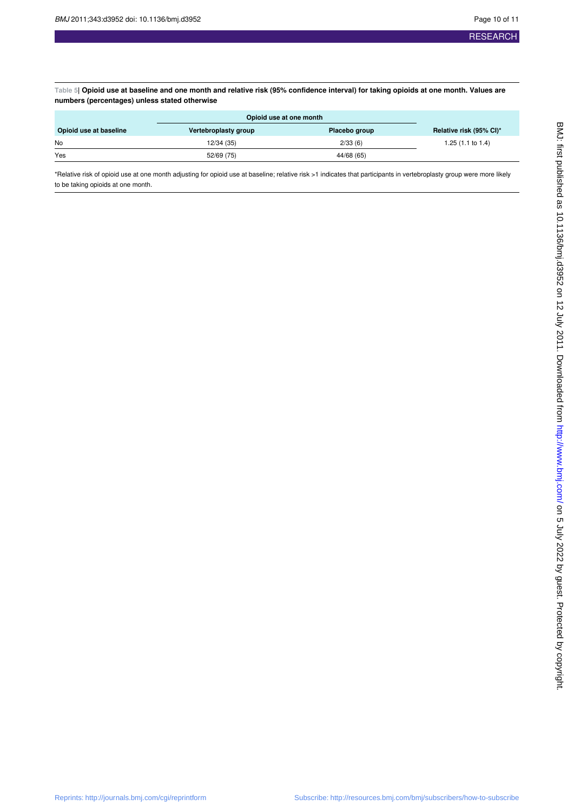**Table 5| Opioid use at baseline and one month and relative risk (95% confidence interval) for taking opioids at one month. Values are numbers (percentages) unless stated otherwise**

| Vertebroplasty group | Placebo group | Relative risk (95% CI)* |
|----------------------|---------------|-------------------------|
| 12/34 (35)           | 2/33(6)       | 1.25 (1.1 to 1.4)       |
| 52/69 (75)           | 44/68 (65)    |                         |
|                      |               | Opioid use at one month |

\*Relative risk of opioid use at one month adjusting for opioid use at baseline; relative risk >1 indicates that participants in vertebroplasty group were more likely to be taking opioids at one month.